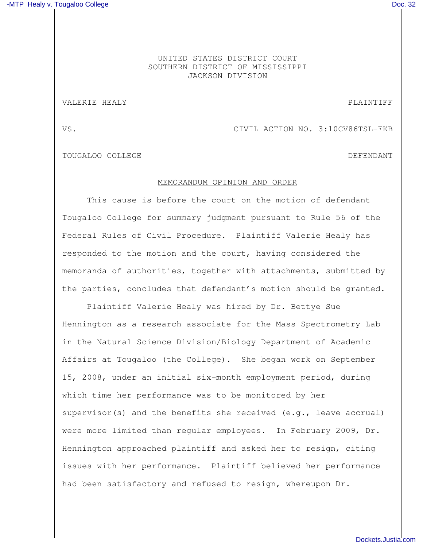## UNITED STATES DISTRICT COURT SOUTHERN DISTRICT OF MISSISSIPPI JACKSON DIVISION

## VALERIE HEALY **PLAINTIFF**

VS. CIVIL ACTION NO. 3:10CV86TSL-FKB

TOUGALOO COLLEGE DEFENDANT

## MEMORANDUM OPINION AND ORDER

This cause is before the court on the motion of defendant Tougaloo College for summary judgment pursuant to Rule 56 of the Federal Rules of Civil Procedure. Plaintiff Valerie Healy has responded to the motion and the court, having considered the memoranda of authorities, together with attachments, submitted by the parties, concludes that defendant's motion should be granted.

Plaintiff Valerie Healy was hired by Dr. Bettye Sue Hennington as a research associate for the Mass Spectrometry Lab in the Natural Science Division/Biology Department of Academic Affairs at Tougaloo (the College). She began work on September 15, 2008, under an initial six-month employment period, during which time her performance was to be monitored by her supervisor(s) and the benefits she received  $(e,q, f)$  leave accrual) were more limited than regular employees. In February 2009, Dr. Hennington approached plaintiff and asked her to resign, citing issues with her performance. Plaintiff believed her performance had been satisfactory and refused to resign, whereupon Dr.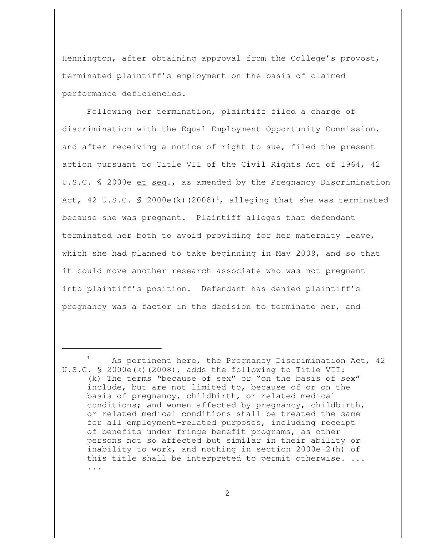Hennington, after obtaining approval from the College's provost, terminated plaintiff's employment on the basis of claimed performance deficiencies.

Following her termination, plaintiff filed a charge of discrimination with the Equal Employment Opportunity Commission, and after receiving a notice of right to sue, filed the present action pursuant to Title VII of the Civil Rights Act of 1964, 42 U.S.C. § 2000e et seq., as amended by the Pregnancy Discrimination Act, 42 U.S.C. § 2000e(k)(2008)<sup>1</sup>, alleging that she was terminated because she was pregnant. Plaintiff alleges that defendant terminated her both to avoid providing for her maternity leave, which she had planned to take beginning in May 2009, and so that it could move another research associate who was not pregnant into plaintiff's position. Defendant has denied plaintiff's pregnancy was a factor in the decision to terminate her, and

As pertinent here, the Pregnancy Discrimination Act, 42 U.S.C. § 2000e(k)(2008), adds the following to Title VII: (k) The terms "because of sex" or "on the basis of sex" include, but are not limited to, because of or on the basis of pregnancy, childbirth, or related medical conditions; and women affected by pregnancy, childbirth, or related medical conditions shall be treated the same for all employment-related purposes, including receipt of benefits under fringe benefit programs, as other persons not so affected but similar in their ability or inability to work, and nothing in section 2000e-2(h) of this title shall be interpreted to permit otherwise. ... ...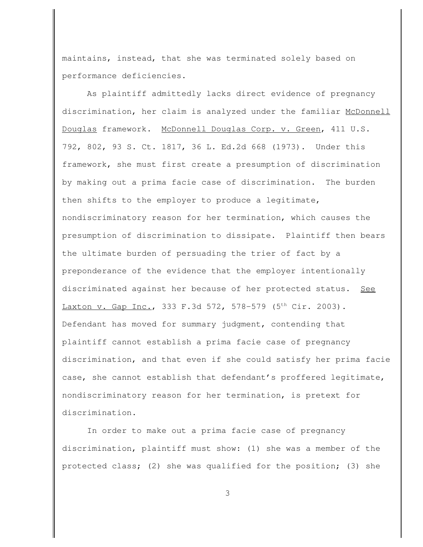maintains, instead, that she was terminated solely based on performance deficiencies.

As plaintiff admittedly lacks direct evidence of pregnancy discrimination, her claim is analyzed under the familiar McDonnell Douglas framework. McDonnell Douglas Corp. v. Green, 411 U.S. 792, 802, 93 S. Ct. 1817, 36 L. Ed.2d 668 (1973). Under this framework, she must first create a presumption of discrimination by making out a prima facie case of discrimination. The burden then shifts to the employer to produce a legitimate, nondiscriminatory reason for her termination, which causes the presumption of discrimination to dissipate. Plaintiff then bears the ultimate burden of persuading the trier of fact by a preponderance of the evidence that the employer intentionally discriminated against her because of her protected status. See Laxton v. Gap Inc., 333 F.3d 572, 578-579 (5<sup>th</sup> Cir. 2003). Defendant has moved for summary judgment, contending that plaintiff cannot establish a prima facie case of pregnancy discrimination, and that even if she could satisfy her prima facie case, she cannot establish that defendant's proffered legitimate, nondiscriminatory reason for her termination, is pretext for discrimination.

In order to make out a prima facie case of pregnancy discrimination, plaintiff must show: (1) she was a member of the protected class; (2) she was qualified for the position; (3) she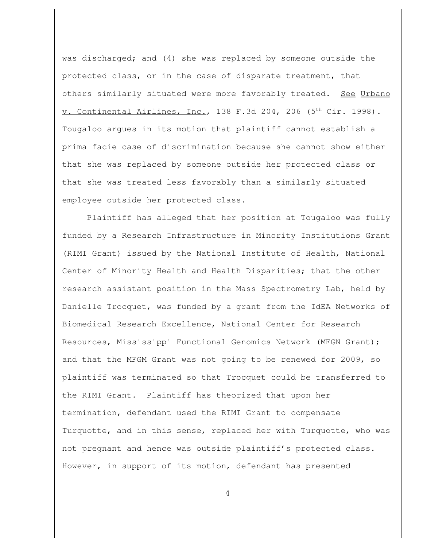was discharged; and (4) she was replaced by someone outside the protected class, or in the case of disparate treatment, that others similarly situated were more favorably treated. See Urbano v. Continental Airlines, Inc., 138 F.3d 204, 206 (5<sup>th</sup> Cir. 1998). Tougaloo argues in its motion that plaintiff cannot establish a prima facie case of discrimination because she cannot show either that she was replaced by someone outside her protected class or that she was treated less favorably than a similarly situated employee outside her protected class.

Plaintiff has alleged that her position at Tougaloo was fully funded by a Research Infrastructure in Minority Institutions Grant (RIMI Grant) issued by the National Institute of Health, National Center of Minority Health and Health Disparities; that the other research assistant position in the Mass Spectrometry Lab, held by Danielle Trocquet, was funded by a grant from the IdEA Networks of Biomedical Research Excellence, National Center for Research Resources, Mississippi Functional Genomics Network (MFGN Grant); and that the MFGM Grant was not going to be renewed for 2009, so plaintiff was terminated so that Trocquet could be transferred to the RIMI Grant. Plaintiff has theorized that upon her termination, defendant used the RIMI Grant to compensate Turquotte, and in this sense, replaced her with Turquotte, who was not pregnant and hence was outside plaintiff's protected class. However, in support of its motion, defendant has presented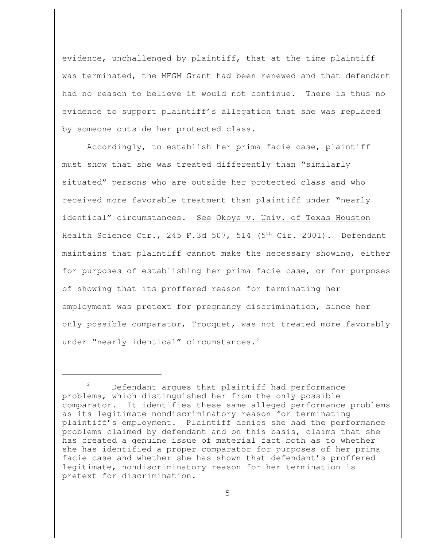evidence, unchallenged by plaintiff, that at the time plaintiff was terminated, the MFGM Grant had been renewed and that defendant had no reason to believe it would not continue. There is thus no evidence to support plaintiff's allegation that she was replaced by someone outside her protected class.

Accordingly, to establish her prima facie case, plaintiff must show that she was treated differently than "similarly situated" persons who are outside her protected class and who received more favorable treatment than plaintiff under "nearly identical" circumstances. See Okoye v. Univ. of Texas Houston Health Science Ctr., 245 F.3d 507, 514 (5<sup>th</sup> Cir. 2001). Defendant maintains that plaintiff cannot make the necessary showing, either for purposes of establishing her prima facie case, or for purposes of showing that its proffered reason for terminating her employment was pretext for pregnancy discrimination, since her only possible comparator, Trocquet, was not treated more favorably under "nearly identical" circumstances.<sup>2</sup>

 $2^2$  Defendant argues that plaintiff had performance problems, which distinguished her from the only possible comparator. It identifies these same alleged performance problems as its legitimate nondiscriminatory reason for terminating plaintiff's employment. Plaintiff denies she had the performance problems claimed by defendant and on this basis, claims that she has created a genuine issue of material fact both as to whether she has identified a proper comparator for purposes of her prima facie case and whether she has shown that defendant's proffered legitimate, nondiscriminatory reason for her termination is pretext for discrimination.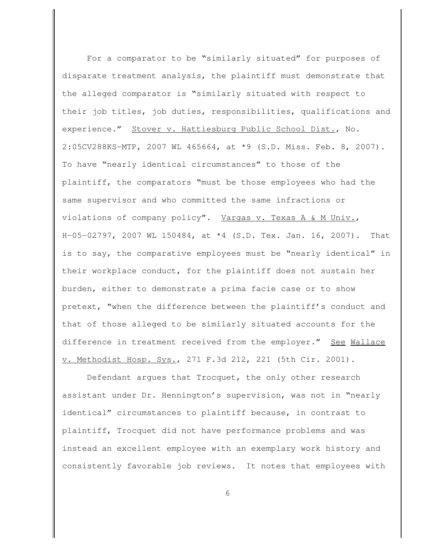For a comparator to be "similarly situated" for purposes of disparate treatment analysis, the plaintiff must demonstrate that the alleged comparator is "similarly situated with respect to their job titles, job duties, responsibilities, qualifications and experience." Stover v. Hattiesburg Public School Dist., No. 2:05CV288KS-MTP, 2007 WL 465664, at \*9 (S.D. Miss. Feb. 8, 2007). To have "nearly identical circumstances" to those of the plaintiff, the comparators "must be those employees who had the same supervisor and who committed the same infractions or violations of company policy". Vargas v. Texas A & M Univ., H-05-02797, 2007 WL 150484, at \*4 (S.D. Tex. Jan. 16, 2007). That is to say, the comparative employees must be "nearly identical" in their workplace conduct, for the plaintiff does not sustain her burden, either to demonstrate a prima facie case or to show pretext, "when the difference between the plaintiff's conduct and that of those alleged to be similarly situated accounts for the difference in treatment received from the employer." See Wallace v. Methodist Hosp. Sys., 271 F.3d 212, 221 (5th Cir. 2001).

Defendant argues that Trocquet, the only other research assistant under Dr. Hennington's supervision, was not in "nearly identical" circumstances to plaintiff because, in contrast to plaintiff, Trocquet did not have performance problems and was instead an excellent employee with an exemplary work history and consistently favorable job reviews. It notes that employees with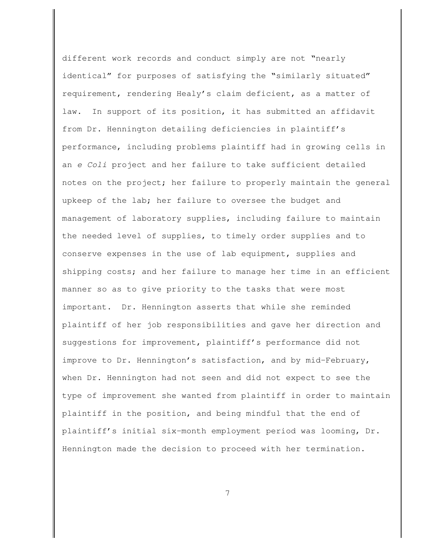different work records and conduct simply are not "nearly identical" for purposes of satisfying the "similarly situated" requirement, rendering Healy's claim deficient, as a matter of law. In support of its position, it has submitted an affidavit from Dr. Hennington detailing deficiencies in plaintiff's performance, including problems plaintiff had in growing cells in an *e Coli* project and her failure to take sufficient detailed notes on the project; her failure to properly maintain the general upkeep of the lab; her failure to oversee the budget and management of laboratory supplies, including failure to maintain the needed level of supplies, to timely order supplies and to conserve expenses in the use of lab equipment, supplies and shipping costs; and her failure to manage her time in an efficient manner so as to give priority to the tasks that were most important. Dr. Hennington asserts that while she reminded plaintiff of her job responsibilities and gave her direction and suggestions for improvement, plaintiff's performance did not improve to Dr. Hennington's satisfaction, and by mid-February, when Dr. Hennington had not seen and did not expect to see the type of improvement she wanted from plaintiff in order to maintain plaintiff in the position, and being mindful that the end of plaintiff's initial six-month employment period was looming, Dr. Hennington made the decision to proceed with her termination.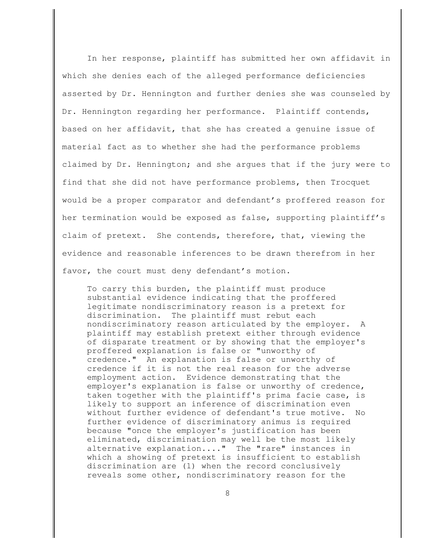In her response, plaintiff has submitted her own affidavit in which she denies each of the alleged performance deficiencies asserted by Dr. Hennington and further denies she was counseled by Dr. Hennington regarding her performance. Plaintiff contends, based on her affidavit, that she has created a genuine issue of material fact as to whether she had the performance problems claimed by Dr. Hennington; and she argues that if the jury were to find that she did not have performance problems, then Trocquet would be a proper comparator and defendant's proffered reason for her termination would be exposed as false, supporting plaintiff's claim of pretext. She contends, therefore, that, viewing the evidence and reasonable inferences to be drawn therefrom in her favor, the court must deny defendant's motion.

To carry this burden, the plaintiff must produce substantial evidence indicating that the proffered legitimate nondiscriminatory reason is a pretext for discrimination. The plaintiff must rebut each nondiscriminatory reason articulated by the employer. A plaintiff may establish pretext either through evidence of disparate treatment or by showing that the employer's proffered explanation is false or "unworthy of credence." An explanation is false or unworthy of credence if it is not the real reason for the adverse employment action. Evidence demonstrating that the employer's explanation is false or unworthy of credence, taken together with the plaintiff's prima facie case, is likely to support an inference of discrimination even without further evidence of defendant's true motive. No further evidence of discriminatory animus is required because "once the employer's justification has been eliminated, discrimination may well be the most likely alternative explanation...." The "rare" instances in which a showing of pretext is insufficient to establish discrimination are (1) when the record conclusively reveals some other, nondiscriminatory reason for the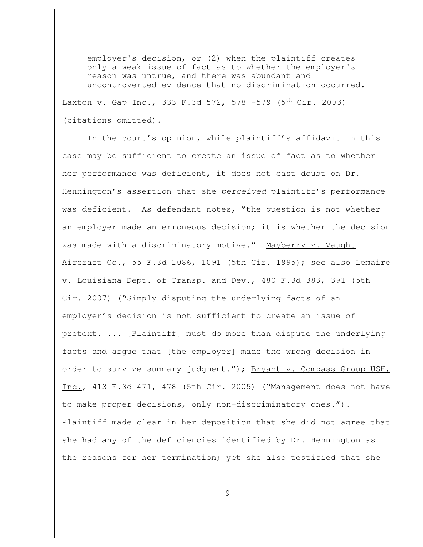employer's decision, or (2) when the plaintiff creates only a weak issue of fact as to whether the employer's reason was untrue, and there was abundant and uncontroverted evidence that no discrimination occurred. Laxton v. Gap Inc., 333 F.3d 572, 578 -579 (5<sup>th</sup> Cir. 2003) (citations omitted).

In the court's opinion, while plaintiff's affidavit in this case may be sufficient to create an issue of fact as to whether her performance was deficient, it does not cast doubt on Dr. Hennington's assertion that she *perceived* plaintiff's performance was deficient. As defendant notes, "the question is not whether an employer made an erroneous decision; it is whether the decision was made with a discriminatory motive." Mayberry v. Vaught Aircraft Co., 55 F.3d 1086, 1091 (5th Cir. 1995); see also Lemaire v. Louisiana Dept. of Transp. and Dev., 480 F.3d 383, 391 (5th Cir. 2007) ("Simply disputing the underlying facts of an employer's decision is not sufficient to create an issue of pretext. ... [Plaintiff] must do more than dispute the underlying facts and argue that [the employer] made the wrong decision in order to survive summary judgment."); Bryant v. Compass Group USH, Inc., 413 F.3d 471, 478 (5th Cir. 2005) ("Management does not have to make proper decisions, only non-discriminatory ones."). Plaintiff made clear in her deposition that she did not agree that she had any of the deficiencies identified by Dr. Hennington as the reasons for her termination; yet she also testified that she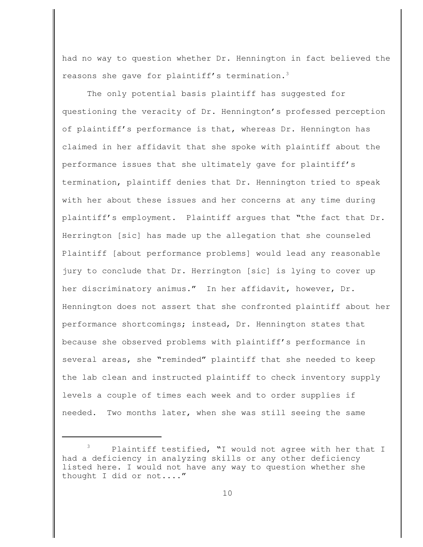had no way to question whether Dr. Hennington in fact believed the reasons she gave for plaintiff's termination.<sup>3</sup>

The only potential basis plaintiff has suggested for questioning the veracity of Dr. Hennington's professed perception of plaintiff's performance is that, whereas Dr. Hennington has claimed in her affidavit that she spoke with plaintiff about the performance issues that she ultimately gave for plaintiff's termination, plaintiff denies that Dr. Hennington tried to speak with her about these issues and her concerns at any time during plaintiff's employment. Plaintiff argues that "the fact that Dr. Herrington [sic] has made up the allegation that she counseled Plaintiff [about performance problems] would lead any reasonable jury to conclude that Dr. Herrington [sic] is lying to cover up her discriminatory animus." In her affidavit, however, Dr. Hennington does not assert that she confronted plaintiff about her performance shortcomings; instead, Dr. Hennington states that because she observed problems with plaintiff's performance in several areas, she "reminded" plaintiff that she needed to keep the lab clean and instructed plaintiff to check inventory supply levels a couple of times each week and to order supplies if needed. Two months later, when she was still seeing the same

Plaintiff testified, "I would not agree with her that I had a deficiency in analyzing skills or any other deficiency listed here. I would not have any way to question whether she thought I did or not...."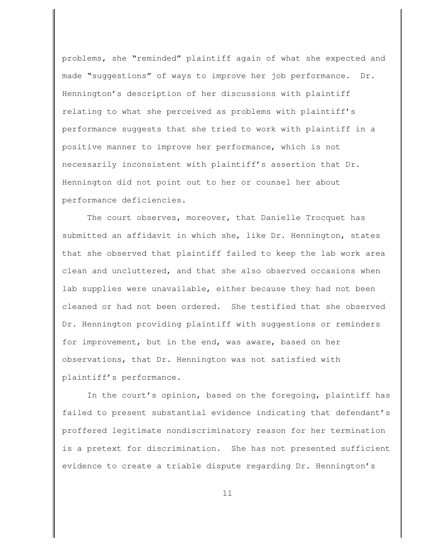problems, she "reminded" plaintiff again of what she expected and made "suggestions" of ways to improve her job performance. Dr. Hennington's description of her discussions with plaintiff relating to what she perceived as problems with plaintiff's performance suggests that she tried to work with plaintiff in a positive manner to improve her performance, which is not necessarily inconsistent with plaintiff's assertion that Dr. Hennington did not point out to her or counsel her about performance deficiencies.

The court observes, moreover, that Danielle Trocquet has submitted an affidavit in which she, like Dr. Hennington, states that she observed that plaintiff failed to keep the lab work area clean and uncluttered, and that she also observed occasions when lab supplies were unavailable, either because they had not been cleaned or had not been ordered. She testified that she observed Dr. Hennington providing plaintiff with suggestions or reminders for improvement, but in the end, was aware, based on her observations, that Dr. Hennington was not satisfied with plaintiff's performance.

In the court's opinion, based on the foregoing, plaintiff has failed to present substantial evidence indicating that defendant's proffered legitimate nondiscriminatory reason for her termination is a pretext for discrimination. She has not presented sufficient evidence to create a triable dispute regarding Dr. Hennington's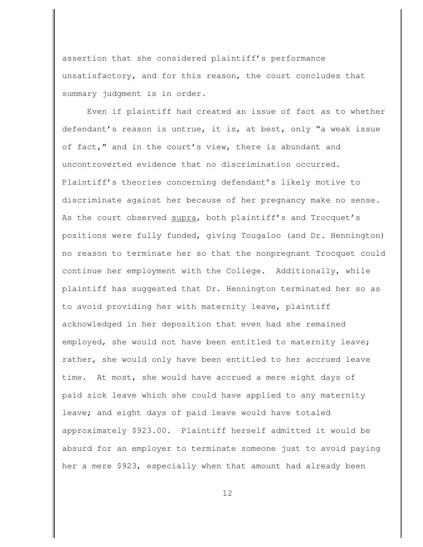assertion that she considered plaintiff's performance unsatisfactory, and for this reason, the court concludes that summary judgment is in order.

Even if plaintiff had created an issue of fact as to whether defendant's reason is untrue, it is, at best, only "a weak issue of fact," and in the court's view, there is abundant and uncontroverted evidence that no discrimination occurred. Plaintiff's theories concerning defendant's likely motive to discriminate against her because of her pregnancy make no sense. As the court observed supra, both plaintiff's and Trocquet's positions were fully funded, giving Tougaloo (and Dr. Hennington) no reason to terminate her so that the nonpregnant Trocquet could continue her employment with the College. Additionally, while plaintiff has suggested that Dr. Hennington terminated her so as to avoid providing her with maternity leave, plaintiff acknowledged in her deposition that even had she remained employed, she would not have been entitled to maternity leave; rather, she would only have been entitled to her accrued leave time. At most, she would have accrued a mere eight days of paid sick leave which she could have applied to any maternity leave; and eight days of paid leave would have totaled approximately \$923.00. Plaintiff herself admitted it would be absurd for an employer to terminate someone just to avoid paying her a mere \$923, especially when that amount had already been

12